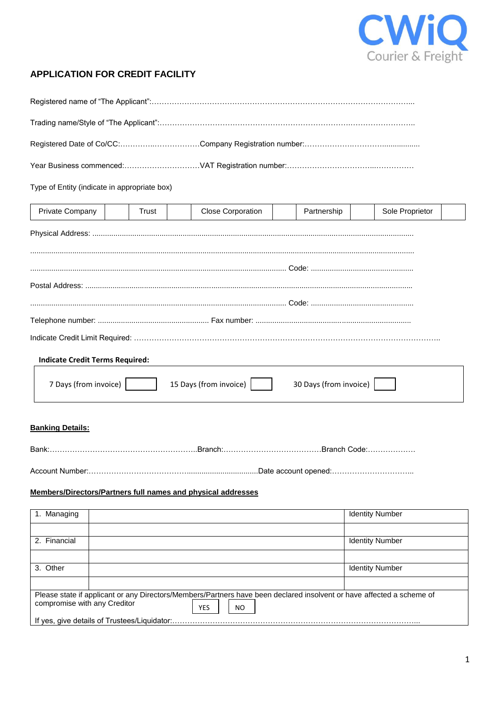

## **APPLICATION FOR CREDIT FACILITY**

| Type of Entity (indicate in appropriate box)                                                                                                                                     |                                                       |                          |             |                        |  |  |  |
|----------------------------------------------------------------------------------------------------------------------------------------------------------------------------------|-------------------------------------------------------|--------------------------|-------------|------------------------|--|--|--|
| Private Company                                                                                                                                                                  | Trust                                                 | <b>Close Corporation</b> | Partnership | Sole Proprietor        |  |  |  |
|                                                                                                                                                                                  |                                                       |                          |             |                        |  |  |  |
|                                                                                                                                                                                  |                                                       |                          |             |                        |  |  |  |
|                                                                                                                                                                                  |                                                       |                          |             |                        |  |  |  |
|                                                                                                                                                                                  |                                                       |                          |             |                        |  |  |  |
|                                                                                                                                                                                  |                                                       |                          |             |                        |  |  |  |
|                                                                                                                                                                                  |                                                       |                          |             |                        |  |  |  |
| <b>Indicate Credit Terms Required:</b>                                                                                                                                           |                                                       |                          |             |                        |  |  |  |
| 7 Days (from invoice)<br>15 Days (from invoice)<br>30 Days (from invoice)                                                                                                        |                                                       |                          |             |                        |  |  |  |
| <b>Banking Details:</b>                                                                                                                                                          |                                                       |                          |             |                        |  |  |  |
|                                                                                                                                                                                  |                                                       |                          |             |                        |  |  |  |
| Account Number:                                                                                                                                                                  | ……………………………………………………………Date account opened:………………………… |                          |             |                        |  |  |  |
| Members/Directors/Partners full names and physical addresses                                                                                                                     |                                                       |                          |             |                        |  |  |  |
| 1. Managing                                                                                                                                                                      |                                                       |                          |             | <b>Identity Number</b> |  |  |  |
| 2. Financial                                                                                                                                                                     |                                                       |                          |             | <b>Identity Number</b> |  |  |  |
| 3. Other                                                                                                                                                                         |                                                       |                          |             | <b>Identity Number</b> |  |  |  |
|                                                                                                                                                                                  |                                                       |                          |             |                        |  |  |  |
| Please state if applicant or any Directors/Members/Partners have been declared insolvent or have affected a scheme of<br>compromise with any Creditor<br><b>YES</b><br><b>NO</b> |                                                       |                          |             |                        |  |  |  |
|                                                                                                                                                                                  |                                                       |                          |             |                        |  |  |  |